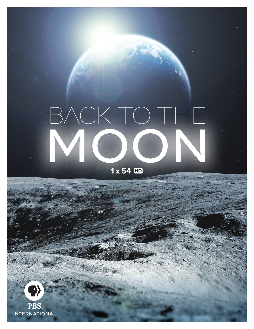